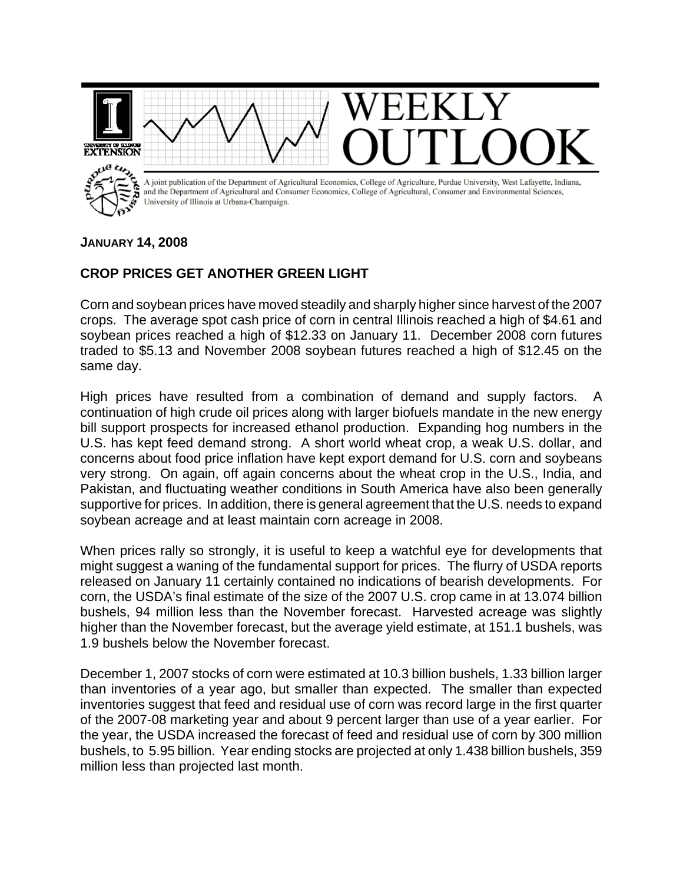

## **JANUARY 14, 2008**

## **CROP PRICES GET ANOTHER GREEN LIGHT**

Corn and soybean prices have moved steadily and sharply higher since harvest of the 2007 crops. The average spot cash price of corn in central Illinois reached a high of \$4.61 and soybean prices reached a high of \$12.33 on January 11. December 2008 corn futures traded to \$5.13 and November 2008 soybean futures reached a high of \$12.45 on the same day.

High prices have resulted from a combination of demand and supply factors. A continuation of high crude oil prices along with larger biofuels mandate in the new energy bill support prospects for increased ethanol production. Expanding hog numbers in the U.S. has kept feed demand strong. A short world wheat crop, a weak U.S. dollar, and concerns about food price inflation have kept export demand for U.S. corn and soybeans very strong. On again, off again concerns about the wheat crop in the U.S., India, and Pakistan, and fluctuating weather conditions in South America have also been generally supportive for prices. In addition, there is general agreement that the U.S. needs to expand soybean acreage and at least maintain corn acreage in 2008.

When prices rally so strongly, it is useful to keep a watchful eye for developments that might suggest a waning of the fundamental support for prices. The flurry of USDA reports released on January 11 certainly contained no indications of bearish developments. For corn, the USDA's final estimate of the size of the 2007 U.S. crop came in at 13.074 billion bushels, 94 million less than the November forecast. Harvested acreage was slightly higher than the November forecast, but the average yield estimate, at 151.1 bushels, was 1.9 bushels below the November forecast.

December 1, 2007 stocks of corn were estimated at 10.3 billion bushels, 1.33 billion larger than inventories of a year ago, but smaller than expected. The smaller than expected inventories suggest that feed and residual use of corn was record large in the first quarter of the 2007-08 marketing year and about 9 percent larger than use of a year earlier. For the year, the USDA increased the forecast of feed and residual use of corn by 300 million bushels, to 5.95 billion. Year ending stocks are projected at only 1.438 billion bushels, 359 million less than projected last month.